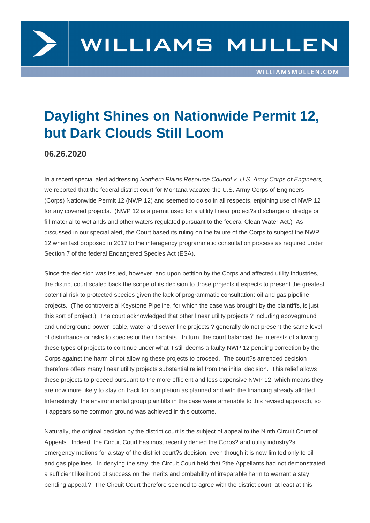## Daylight Shines on Nationwide Permit 12, but Dark Clouds Still Loom

06.26.2020

In a recent special alert addressing Northern Plains Resource Council v. U.S. Army Corps of Engineers, we reported that the federal district court for Montana vacated the U.S. Army Corps of Engineers (Corps) Nationwide Permit 12 (NWP 12) and seemed to do so in all respects, enjoining use of NWP 12 for [any covered projects](https://www.williamsmullen.com/news/stop-pipes-corps-nationwide-permit-12-vacated-federal-district-court). (NWP 12 is a permit used for a utility linear project?s discharge of dredge or fill material to wetlands and other waters regulated pursuant to the federal Clean Water Act.) As discussed in our special alert, the Court based its ruling on the failure of the Corps to subject the NWP 12 when last proposed in 2017 to the interagency programmatic consultation process as required under Section 7 of the federal Endangered Species Act (ESA).

Since the decision was issued, however, and upon petition by the Corps and affected utility industries, the district court scaled back the scope of its decision to those projects it expects to present the greatest potential risk to protected species given the lack of programmatic consultation: oil and gas pipeline projects. (The controversial Keystone Pipeline, for which the case was brought by the plaintiffs, is just this sort of project.) The court acknowledged that other linear utility projects ? including aboveground and underground power, cable, water and sewer line projects ? generally do not present the same level of disturbance or risks to species or their habitats. In turn, the court balanced the interests of allowing these types of projects to continue under what it still deems a faulty NWP 12 pending correction by the Corps against the harm of not allowing these projects to proceed. The court?s amended decision therefore offers many linear utility projects substantial relief from the initial decision. This relief allows these projects to proceed pursuant to the more efficient and less expensive NWP 12, which means they are now more likely to stay on track for completion as planned and with the financing already allotted. Interestingly, the environmental group plaintiffs in the case were amenable to this revised approach, so it appears some common ground was achieved in this outcome.

Naturally, the original decision by the district court is the subject of appeal to the Ninth Circuit Court of Appeals. Indeed, the Circuit Court has most recently denied the Corps? and utility industry?s emergency motions for a stay of the district court?s decision, even though it is now limited only to oil and gas pipelines. In denying the stay, the Circuit Court held that ?the Appellants had not demonstrated a sufficient likelihood of success on the merits and probability of irreparable harm to warrant a stay pending appeal.? The Circuit Court therefore seemed to agree with the district court, at least at this